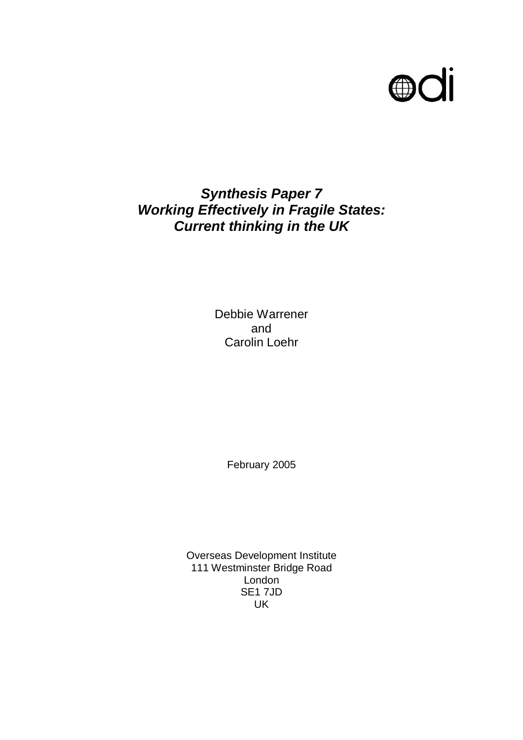

# *Synthesis Paper 7 Working Effectively in Fragile States: Current thinking in the UK*

Debbie Warrener and Carolin Loehr

February 2005

Overseas Development Institute 111 Westminster Bridge Road London SE1 7JD UK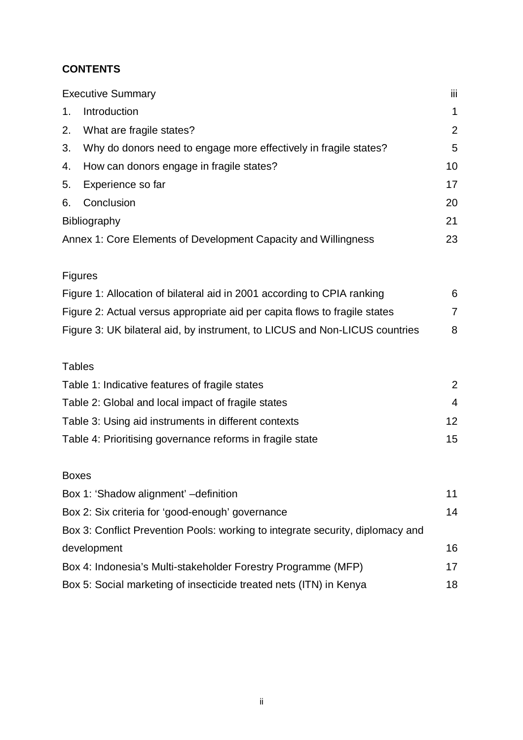# **CONTENTS**

|                                                    | <b>Executive Summary</b>                                                       | Ϊij               |  |
|----------------------------------------------------|--------------------------------------------------------------------------------|-------------------|--|
| 1.                                                 | Introduction                                                                   | 1                 |  |
| 2.                                                 | What are fragile states?                                                       | 2                 |  |
| 3.                                                 | Why do donors need to engage more effectively in fragile states?               | 5                 |  |
| 4.                                                 | How can donors engage in fragile states?                                       | 10                |  |
| 5.                                                 | Experience so far                                                              | 17                |  |
| 6.                                                 | Conclusion                                                                     | 20                |  |
|                                                    | Bibliography                                                                   | 21                |  |
|                                                    | Annex 1: Core Elements of Development Capacity and Willingness                 | 23                |  |
|                                                    |                                                                                |                   |  |
|                                                    | <b>Figures</b>                                                                 |                   |  |
|                                                    | Figure 1: Allocation of bilateral aid in 2001 according to CPIA ranking        | 6                 |  |
|                                                    | Figure 2: Actual versus appropriate aid per capita flows to fragile states     | $\overline{7}$    |  |
|                                                    | Figure 3: UK bilateral aid, by instrument, to LICUS and Non-LICUS countries    | 8                 |  |
|                                                    |                                                                                |                   |  |
| <b>Tables</b>                                      |                                                                                |                   |  |
| Table 1: Indicative features of fragile states     |                                                                                | 2                 |  |
| Table 2: Global and local impact of fragile states |                                                                                | $\overline{4}$    |  |
|                                                    | Table 3: Using aid instruments in different contexts                           | $12 \overline{ }$ |  |
|                                                    | Table 4: Prioritising governance reforms in fragile state                      | 15                |  |
|                                                    |                                                                                |                   |  |
| <b>Boxes</b>                                       |                                                                                |                   |  |
|                                                    | Box 1: 'Shadow alignment' -definition                                          | 11                |  |
|                                                    | Box 2: Six criteria for 'good-enough' governance                               |                   |  |
|                                                    | Box 3: Conflict Prevention Pools: working to integrate security, diplomacy and |                   |  |

development 16 Box 4: Indonesia's Multi-stakeholder Forestry Programme (MFP) 17 Box 5: Social marketing of insecticide treated nets (ITN) in Kenya 18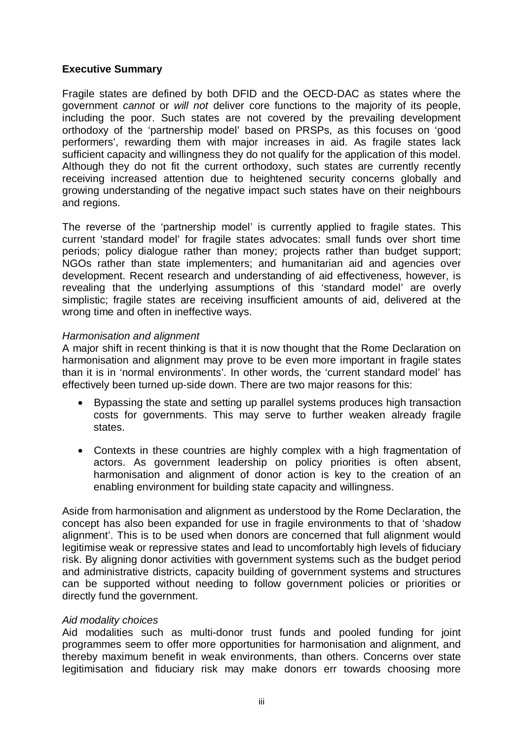#### **Executive Summary**

Fragile states are defined by both DFID and the OECD-DAC as states where the government *cannot* or *will not* deliver core functions to the majority of its people, including the poor. Such states are not covered by the prevailing development orthodoxy of the 'partnership model' based on PRSPs, as this focuses on 'good performers', rewarding them with major increases in aid. As fragile states lack sufficient capacity and willingness they do not qualify for the application of this model. Although they do not fit the current orthodoxy, such states are currently recently receiving increased attention due to heightened security concerns globally and growing understanding of the negative impact such states have on their neighbours and regions.

The reverse of the 'partnership model' is currently applied to fragile states. This current 'standard model' for fragile states advocates: small funds over short time periods; policy dialogue rather than money; projects rather than budget support; NGOs rather than state implementers; and humanitarian aid and agencies over development. Recent research and understanding of aid effectiveness, however, is revealing that the underlying assumptions of this 'standard model' are overly simplistic; fragile states are receiving insufficient amounts of aid, delivered at the wrong time and often in ineffective ways.

#### *Harmonisation and alignment*

A major shift in recent thinking is that it is now thought that the Rome Declaration on harmonisation and alignment may prove to be even more important in fragile states than it is in 'normal environments'. In other words, the 'current standard model' has effectively been turned up-side down. There are two major reasons for this:

- Bypassing the state and setting up parallel systems produces high transaction costs for governments. This may serve to further weaken already fragile states.
- Contexts in these countries are highly complex with a high fragmentation of actors. As government leadership on policy priorities is often absent, harmonisation and alignment of donor action is key to the creation of an enabling environment for building state capacity and willingness.

Aside from harmonisation and alignment as understood by the Rome Declaration, the concept has also been expanded for use in fragile environments to that of 'shadow alignment'. This is to be used when donors are concerned that full alignment would legitimise weak or repressive states and lead to uncomfortably high levels of fiduciary risk. By aligning donor activities with government systems such as the budget period and administrative districts, capacity building of government systems and structures can be supported without needing to follow government policies or priorities or directly fund the government.

### *Aid modality choices*

Aid modalities such as multi-donor trust funds and pooled funding for joint programmes seem to offer more opportunities for harmonisation and alignment, and thereby maximum benefit in weak environments, than others. Concerns over state legitimisation and fiduciary risk may make donors err towards choosing more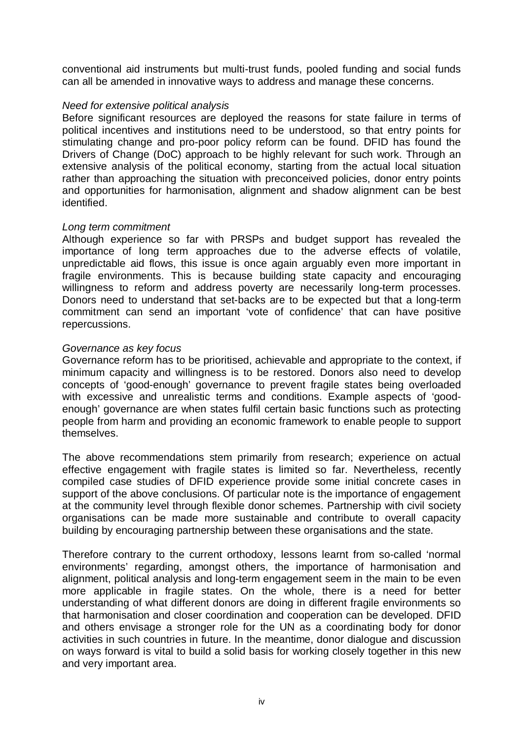conventional aid instruments but multi-trust funds, pooled funding and social funds can all be amended in innovative ways to address and manage these concerns.

#### *Need for extensive political analysis*

Before significant resources are deployed the reasons for state failure in terms of political incentives and institutions need to be understood, so that entry points for stimulating change and pro-poor policy reform can be found. DFID has found the Drivers of Change (DoC) approach to be highly relevant for such work. Through an extensive analysis of the political economy, starting from the actual local situation rather than approaching the situation with preconceived policies, donor entry points and opportunities for harmonisation, alignment and shadow alignment can be best identified.

#### *Long term commitment*

Although experience so far with PRSPs and budget support has revealed the importance of long term approaches due to the adverse effects of volatile, unpredictable aid flows, this issue is once again arguably even more important in fragile environments. This is because building state capacity and encouraging willingness to reform and address poverty are necessarily long-term processes. Donors need to understand that set-backs are to be expected but that a long-term commitment can send an important 'vote of confidence' that can have positive repercussions.

#### *Governance as key focus*

Governance reform has to be prioritised, achievable and appropriate to the context, if minimum capacity and willingness is to be restored. Donors also need to develop concepts of 'good-enough' governance to prevent fragile states being overloaded with excessive and unrealistic terms and conditions. Example aspects of 'goodenough' governance are when states fulfil certain basic functions such as protecting people from harm and providing an economic framework to enable people to support themselves.

The above recommendations stem primarily from research; experience on actual effective engagement with fragile states is limited so far. Nevertheless, recently compiled case studies of DFID experience provide some initial concrete cases in support of the above conclusions. Of particular note is the importance of engagement at the community level through flexible donor schemes. Partnership with civil society organisations can be made more sustainable and contribute to overall capacity building by encouraging partnership between these organisations and the state.

Therefore contrary to the current orthodoxy, lessons learnt from so-called 'normal environments' regarding, amongst others, the importance of harmonisation and alignment, political analysis and long-term engagement seem in the main to be even more applicable in fragile states. On the whole, there is a need for better understanding of what different donors are doing in different fragile environments so that harmonisation and closer coordination and cooperation can be developed. DFID and others envisage a stronger role for the UN as a coordinating body for donor activities in such countries in future. In the meantime, donor dialogue and discussion on ways forward is vital to build a solid basis for working closely together in this new and very important area.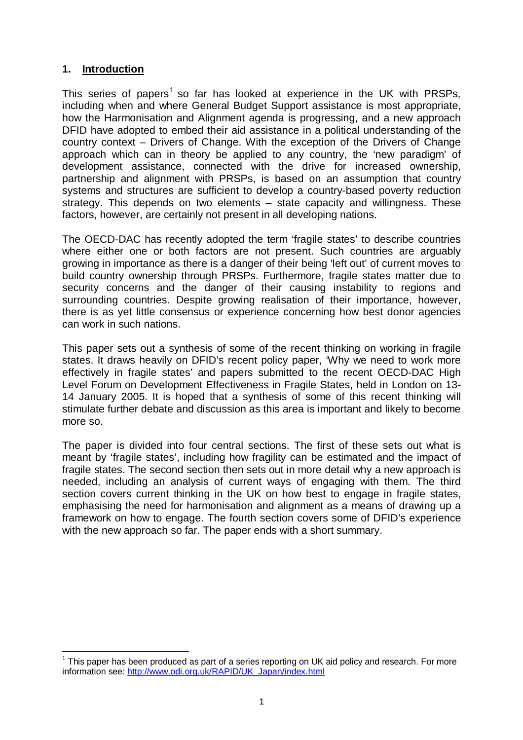## **1. Introduction**

 $\overline{a}$ 

This series of papers<sup>1</sup> so far has looked at experience in the UK with PRSPs, including when and where General Budget Support assistance is most appropriate, how the Harmonisation and Alignment agenda is progressing, and a new approach DFID have adopted to embed their aid assistance in a political understanding of the country context – Drivers of Change. With the exception of the Drivers of Change approach which can in theory be applied to any country, the 'new paradigm' of development assistance, connected with the drive for increased ownership, partnership and alignment with PRSPs, is based on an assumption that country systems and structures are sufficient to develop a country-based poverty reduction strategy. This depends on two elements – state capacity and willingness. These factors, however, are certainly not present in all developing nations.

The OECD-DAC has recently adopted the term 'fragile states' to describe countries where either one or both factors are not present. Such countries are arguably growing in importance as there is a danger of their being 'left out' of current moves to build country ownership through PRSPs. Furthermore, fragile states matter due to security concerns and the danger of their causing instability to regions and surrounding countries. Despite growing realisation of their importance, however, there is as yet little consensus or experience concerning how best donor agencies can work in such nations.

This paper sets out a synthesis of some of the recent thinking on working in fragile states. It draws heavily on DFID's recent policy paper, 'Why we need to work more effectively in fragile states' and papers submitted to the recent OECD-DAC High Level Forum on Development Effectiveness in Fragile States, held in London on 13- 14 January 2005. It is hoped that a synthesis of some of this recent thinking will stimulate further debate and discussion as this area is important and likely to become more so.

The paper is divided into four central sections. The first of these sets out what is meant by 'fragile states', including how fragility can be estimated and the impact of fragile states. The second section then sets out in more detail why a new approach is needed, including an analysis of current ways of engaging with them. The third section covers current thinking in the UK on how best to engage in fragile states, emphasising the need for harmonisation and alignment as a means of drawing up a framework on how to engage. The fourth section covers some of DFID's experience with the new approach so far. The paper ends with a short summary.

 $1$  This paper has been produced as part of a series reporting on UK aid policy and research. For more information see: http://www.odi.org.uk/RAPID/UK\_Japan/index.html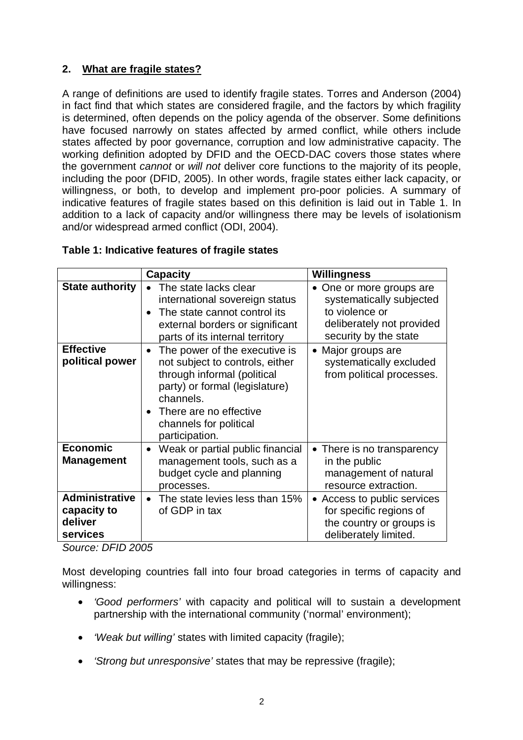# **2. What are fragile states?**

A range of definitions are used to identify fragile states. Torres and Anderson (2004) in fact find that which states are considered fragile, and the factors by which fragility is determined, often depends on the policy agenda of the observer. Some definitions have focused narrowly on states affected by armed conflict, while others include states affected by poor governance, corruption and low administrative capacity. The working definition adopted by DFID and the OECD-DAC covers those states where the government *cannot* or *will not* deliver core functions to the majority of its people, including the poor (DFID, 2005). In other words, fragile states either lack capacity, or willingness, or both, to develop and implement pro-poor policies. A summary of indicative features of fragile states based on this definition is laid out in Table 1. In addition to a lack of capacity and/or willingness there may be levels of isolationism and/or widespread armed conflict (ODI, 2004).

|                                                             | <b>Capacity</b>                                                                                                                                                                                                                                | Willingness                                                                                                                             |
|-------------------------------------------------------------|------------------------------------------------------------------------------------------------------------------------------------------------------------------------------------------------------------------------------------------------|-----------------------------------------------------------------------------------------------------------------------------------------|
| <b>State authority</b>                                      | The state lacks clear<br>international sovereign status<br>The state cannot control its<br>$\bullet$<br>external borders or significant<br>parts of its internal territory                                                                     | One or more groups are<br>$\bullet$<br>systematically subjected<br>to violence or<br>deliberately not provided<br>security by the state |
| <b>Effective</b><br>political power                         | The power of the executive is<br>$\bullet$<br>not subject to controls, either<br>through informal (political<br>party) or formal (legislature)<br>channels.<br>There are no effective<br>$\bullet$<br>channels for political<br>participation. | • Major groups are<br>systematically excluded<br>from political processes.                                                              |
| <b>Economic</b><br><b>Management</b>                        | Weak or partial public financial<br>$\bullet$<br>management tools, such as a<br>budget cycle and planning<br>processes.                                                                                                                        | • There is no transparency<br>in the public<br>management of natural<br>resource extraction.                                            |
| <b>Administrative</b><br>capacity to<br>deliver<br>services | The state levies less than 15%<br>of GDP in tax                                                                                                                                                                                                | • Access to public services<br>for specific regions of<br>the country or groups is<br>deliberately limited.                             |

### **Table 1: Indicative features of fragile states**

*Source: DFID 2005* 

Most developing countries fall into four broad categories in terms of capacity and willingness:

- *'Good performers'* with capacity and political will to sustain a development partnership with the international community ('normal' environment);
- *'Weak but willing'* states with limited capacity (fragile);
- *'Strong but unresponsive'* states that may be repressive (fragile);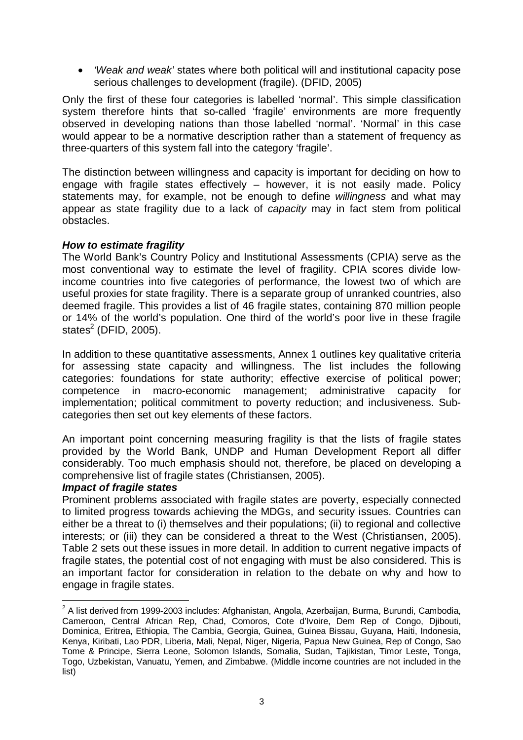• *'Weak and weak'* states where both political will and institutional capacity pose serious challenges to development (fragile). (DFID, 2005)

Only the first of these four categories is labelled 'normal'. This simple classification system therefore hints that so-called 'fragile' environments are more frequently observed in developing nations than those labelled 'normal'. 'Normal' in this case would appear to be a normative description rather than a statement of frequency as three-quarters of this system fall into the category 'fragile'.

The distinction between willingness and capacity is important for deciding on how to engage with fragile states effectively – however, it is not easily made. Policy statements may, for example, not be enough to define *willingness* and what may appear as state fragility due to a lack of *capacity* may in fact stem from political obstacles.

### *How to estimate fragility*

The World Bank's Country Policy and Institutional Assessments (CPIA) serve as the most conventional way to estimate the level of fragility. CPIA scores divide lowincome countries into five categories of performance, the lowest two of which are useful proxies for state fragility. There is a separate group of unranked countries, also deemed fragile. This provides a list of 46 fragile states, containing 870 million people or 14% of the world's population. One third of the world's poor live in these fragile states $^2$  (DFID, 2005).

In addition to these quantitative assessments, Annex 1 outlines key qualitative criteria for assessing state capacity and willingness. The list includes the following categories: foundations for state authority; effective exercise of political power; competence in macro-economic management; administrative capacity for implementation; political commitment to poverty reduction; and inclusiveness. Subcategories then set out key elements of these factors.

An important point concerning measuring fragility is that the lists of fragile states provided by the World Bank, UNDP and Human Development Report all differ considerably. Too much emphasis should not, therefore, be placed on developing a comprehensive list of fragile states (Christiansen, 2005).

#### *Impact of fragile states*

 $\overline{a}$ 

Prominent problems associated with fragile states are poverty, especially connected to limited progress towards achieving the MDGs, and security issues. Countries can either be a threat to (i) themselves and their populations; (ii) to regional and collective interests; or (iii) they can be considered a threat to the West (Christiansen, 2005). Table 2 sets out these issues in more detail. In addition to current negative impacts of fragile states, the potential cost of not engaging with must be also considered. This is an important factor for consideration in relation to the debate on why and how to engage in fragile states.

 $2$  A list derived from 1999-2003 includes: Afghanistan, Angola, Azerbaijan, Burma, Burundi, Cambodia, Cameroon, Central African Rep, Chad, Comoros, Cote d'Ivoire, Dem Rep of Congo, Djibouti, Dominica, Eritrea, Ethiopia, The Cambia, Georgia, Guinea, Guinea Bissau, Guyana, Haiti, Indonesia, Kenya, Kiribati, Lao PDR, Liberia, Mali, Nepal, Niger, Nigeria, Papua New Guinea, Rep of Congo, Sao Tome & Principe, Sierra Leone, Solomon Islands, Somalia, Sudan, Tajikistan, Timor Leste, Tonga, Togo, Uzbekistan, Vanuatu, Yemen, and Zimbabwe. (Middle income countries are not included in the list)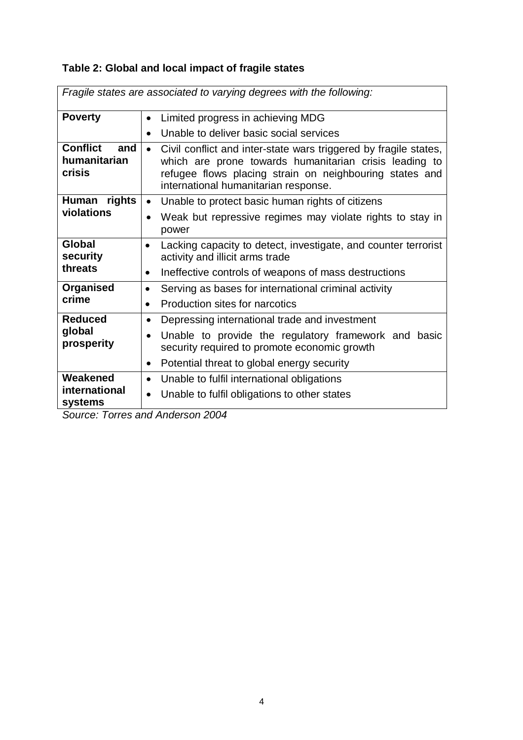# **Table 2: Global and local impact of fragile states**

| Fragile states are associated to varying degrees with the following: |                                                                                                                                                                                                                                            |  |
|----------------------------------------------------------------------|--------------------------------------------------------------------------------------------------------------------------------------------------------------------------------------------------------------------------------------------|--|
| <b>Poverty</b>                                                       | Limited progress in achieving MDG<br>$\bullet$                                                                                                                                                                                             |  |
|                                                                      | Unable to deliver basic social services<br>$\bullet$                                                                                                                                                                                       |  |
| <b>Conflict</b><br>and<br>humanitarian<br>crisis                     | Civil conflict and inter-state wars triggered by fragile states,<br>$\bullet$<br>which are prone towards humanitarian crisis leading to<br>refugee flows placing strain on neighbouring states and<br>international humanitarian response. |  |
| Human rights                                                         | Unable to protect basic human rights of citizens<br>$\bullet$                                                                                                                                                                              |  |
| violations                                                           | Weak but repressive regimes may violate rights to stay in<br>$\bullet$<br>power                                                                                                                                                            |  |
| Global<br>security                                                   | Lacking capacity to detect, investigate, and counter terrorist<br>$\bullet$<br>activity and illicit arms trade                                                                                                                             |  |
| threats                                                              | Ineffective controls of weapons of mass destructions                                                                                                                                                                                       |  |
| <b>Organised</b>                                                     | Serving as bases for international criminal activity                                                                                                                                                                                       |  |
| crime                                                                | Production sites for narcotics<br>$\bullet$                                                                                                                                                                                                |  |
| <b>Reduced</b>                                                       | Depressing international trade and investment<br>$\bullet$                                                                                                                                                                                 |  |
| global<br>prosperity                                                 | Unable to provide the regulatory framework and basic<br>$\bullet$<br>security required to promote economic growth                                                                                                                          |  |
|                                                                      | Potential threat to global energy security<br>$\bullet$                                                                                                                                                                                    |  |
| Weakened                                                             | Unable to fulfil international obligations<br>$\bullet$                                                                                                                                                                                    |  |
| international<br>systems                                             | Unable to fulfil obligations to other states                                                                                                                                                                                               |  |

*Source: Torres and Anderson 2004*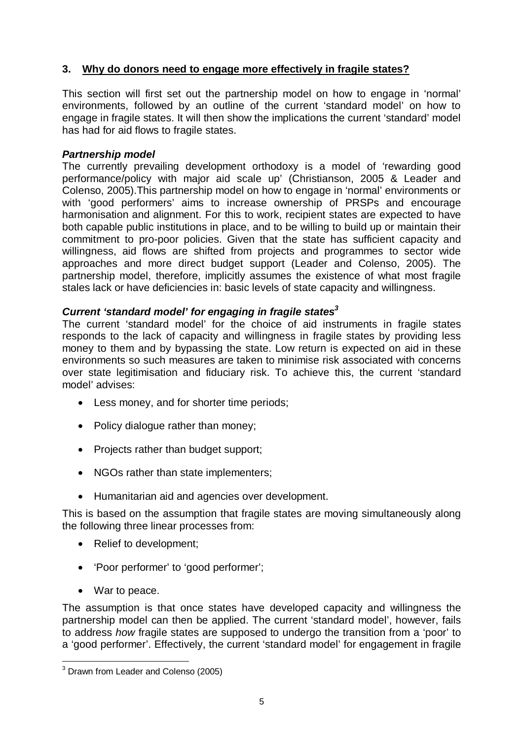# **3. Why do donors need to engage more effectively in fragile states?**

This section will first set out the partnership model on how to engage in 'normal' environments, followed by an outline of the current 'standard model' on how to engage in fragile states. It will then show the implications the current 'standard' model has had for aid flows to fragile states.

## *Partnership model*

The currently prevailing development orthodoxy is a model of 'rewarding good performance/policy with major aid scale up' (Christianson, 2005 & Leader and Colenso, 2005).This partnership model on how to engage in 'normal' environments or with 'good performers' aims to increase ownership of PRSPs and encourage harmonisation and alignment. For this to work, recipient states are expected to have both capable public institutions in place, and to be willing to build up or maintain their commitment to pro-poor policies. Given that the state has sufficient capacity and willingness, aid flows are shifted from projects and programmes to sector wide approaches and more direct budget support (Leader and Colenso, 2005). The partnership model, therefore, implicitly assumes the existence of what most fragile stales lack or have deficiencies in: basic levels of state capacity and willingness.

# *Current 'standard model' for engaging in fragile states3*

The current 'standard model' for the choice of aid instruments in fragile states responds to the lack of capacity and willingness in fragile states by providing less money to them and by bypassing the state. Low return is expected on aid in these environments so such measures are taken to minimise risk associated with concerns over state legitimisation and fiduciary risk. To achieve this, the current 'standard model' advises:

- Less money, and for shorter time periods;
- Policy dialogue rather than money;
- Projects rather than budget support;
- NGOs rather than state implementers;
- Humanitarian aid and agencies over development.

This is based on the assumption that fragile states are moving simultaneously along the following three linear processes from:

- Relief to development;
- 'Poor performer' to 'good performer';
- War to peace.

The assumption is that once states have developed capacity and willingness the partnership model can then be applied. The current 'standard model', however, fails to address *how* fragile states are supposed to undergo the transition from a 'poor' to a 'good performer'. Effectively, the current 'standard model' for engagement in fragile

 3 Drawn from Leader and Colenso (2005)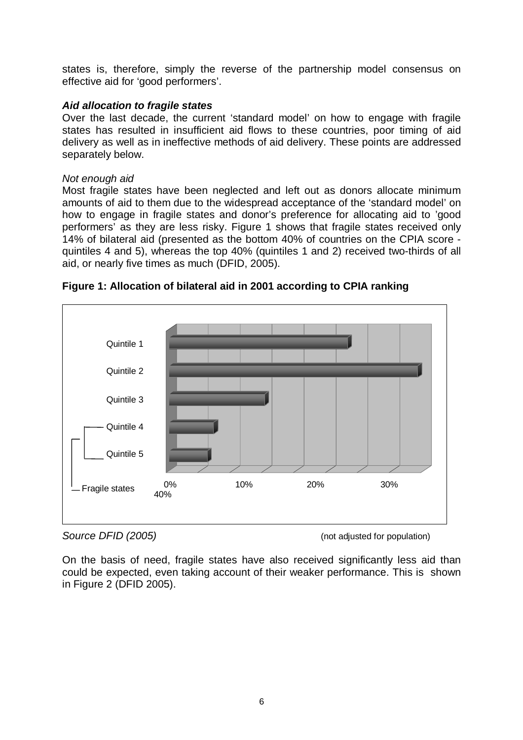states is, therefore, simply the reverse of the partnership model consensus on effective aid for 'good performers'.

## *Aid allocation to fragile states*

Over the last decade, the current 'standard model' on how to engage with fragile states has resulted in insufficient aid flows to these countries, poor timing of aid delivery as well as in ineffective methods of aid delivery. These points are addressed separately below.

### *Not enough aid*

Most fragile states have been neglected and left out as donors allocate minimum amounts of aid to them due to the widespread acceptance of the 'standard model' on how to engage in fragile states and donor's preference for allocating aid to 'good performers' as they are less risky. Figure 1 shows that fragile states received only 14% of bilateral aid (presented as the bottom 40% of countries on the CPIA score quintiles 4 and 5), whereas the top 40% (quintiles 1 and 2) received two-thirds of all aid, or nearly five times as much (DFID, 2005).



**Figure 1: Allocation of bilateral aid in 2001 according to CPIA ranking** 

On the basis of need, fragile states have also received significantly less aid than could be expected, even taking account of their weaker performance. This is shown in Figure 2 (DFID 2005).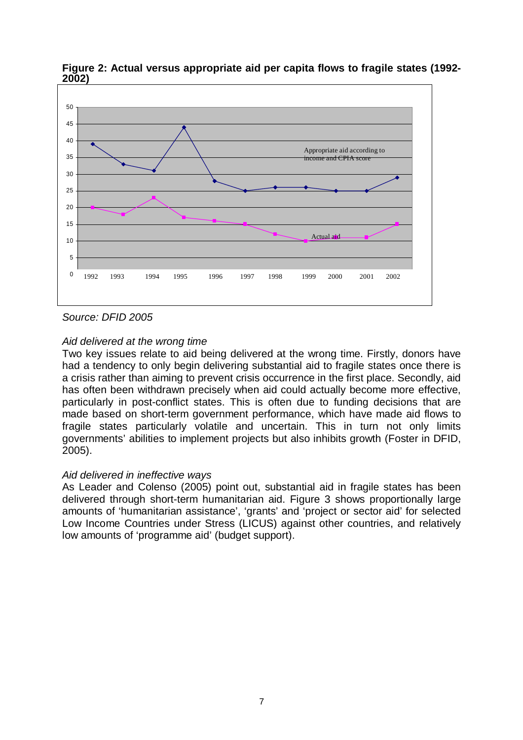

**Figure 2: Actual versus appropriate aid per capita flows to fragile states (1992- 2002)** 

## *Source: DFID 2005*

## *Aid delivered at the wrong time*

Two key issues relate to aid being delivered at the wrong time. Firstly, donors have had a tendency to only begin delivering substantial aid to fragile states once there is a crisis rather than aiming to prevent crisis occurrence in the first place. Secondly, aid has often been withdrawn precisely when aid could actually become more effective, particularly in post-conflict states. This is often due to funding decisions that are made based on short-term government performance, which have made aid flows to fragile states particularly volatile and uncertain. This in turn not only limits governments' abilities to implement projects but also inhibits growth (Foster in DFID, 2005).

### *Aid delivered in ineffective ways*

As Leader and Colenso (2005) point out, substantial aid in fragile states has been delivered through short-term humanitarian aid. Figure 3 shows proportionally large amounts of 'humanitarian assistance', 'grants' and 'project or sector aid' for selected Low Income Countries under Stress (LICUS) against other countries, and relatively low amounts of 'programme aid' (budget support).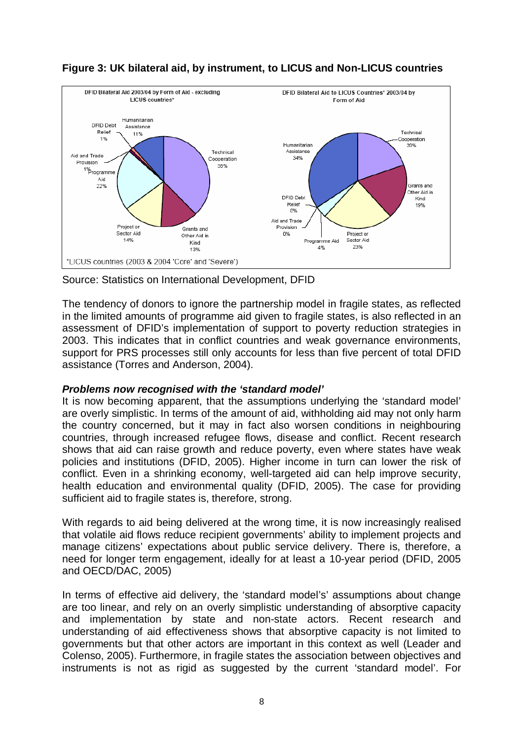



Source: Statistics on International Development, DFID

The tendency of donors to ignore the partnership model in fragile states, as reflected in the limited amounts of programme aid given to fragile states, is also reflected in an assessment of DFID's implementation of support to poverty reduction strategies in 2003. This indicates that in conflict countries and weak governance environments, support for PRS processes still only accounts for less than five percent of total DFID assistance (Torres and Anderson, 2004).

# *Problems now recognised with the 'standard model'*

It is now becoming apparent, that the assumptions underlying the 'standard model' are overly simplistic. In terms of the amount of aid, withholding aid may not only harm the country concerned, but it may in fact also worsen conditions in neighbouring countries, through increased refugee flows, disease and conflict. Recent research shows that aid can raise growth and reduce poverty, even where states have weak policies and institutions (DFID, 2005). Higher income in turn can lower the risk of conflict. Even in a shrinking economy, well-targeted aid can help improve security, health education and environmental quality (DFID, 2005). The case for providing sufficient aid to fragile states is, therefore, strong.

With regards to aid being delivered at the wrong time, it is now increasingly realised that volatile aid flows reduce recipient governments' ability to implement projects and manage citizens' expectations about public service delivery. There is, therefore, a need for longer term engagement, ideally for at least a 10-year period (DFID, 2005 and OECD/DAC, 2005)

In terms of effective aid delivery, the 'standard model's' assumptions about change are too linear, and rely on an overly simplistic understanding of absorptive capacity and implementation by state and non-state actors. Recent research and understanding of aid effectiveness shows that absorptive capacity is not limited to governments but that other actors are important in this context as well (Leader and Colenso, 2005). Furthermore, in fragile states the association between objectives and instruments is not as rigid as suggested by the current 'standard model'. For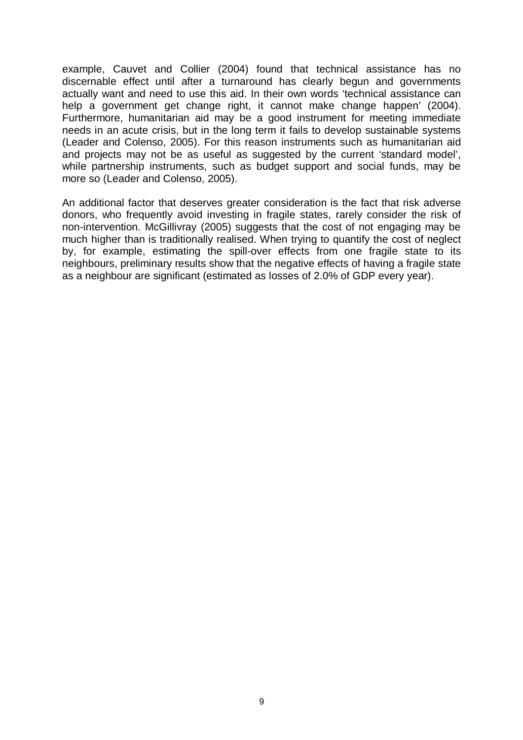example, Cauvet and Collier (2004) found that technical assistance has no discernable effect until after a turnaround has clearly begun and governments actually want and need to use this aid. In their own words 'technical assistance can help a government get change right, it cannot make change happen' (2004). Furthermore, humanitarian aid may be a good instrument for meeting immediate needs in an acute crisis, but in the long term it fails to develop sustainable systems (Leader and Colenso, 2005). For this reason instruments such as humanitarian aid and projects may not be as useful as suggested by the current 'standard model', while partnership instruments, such as budget support and social funds, may be more so (Leader and Colenso, 2005).

An additional factor that deserves greater consideration is the fact that risk adverse donors, who frequently avoid investing in fragile states, rarely consider the risk of non-intervention. McGillivray (2005) suggests that the cost of not engaging may be much higher than is traditionally realised. When trying to quantify the cost of neglect by, for example, estimating the spill-over effects from one fragile state to its neighbours, preliminary results show that the negative effects of having a fragile state as a neighbour are significant (estimated as losses of 2.0% of GDP every year).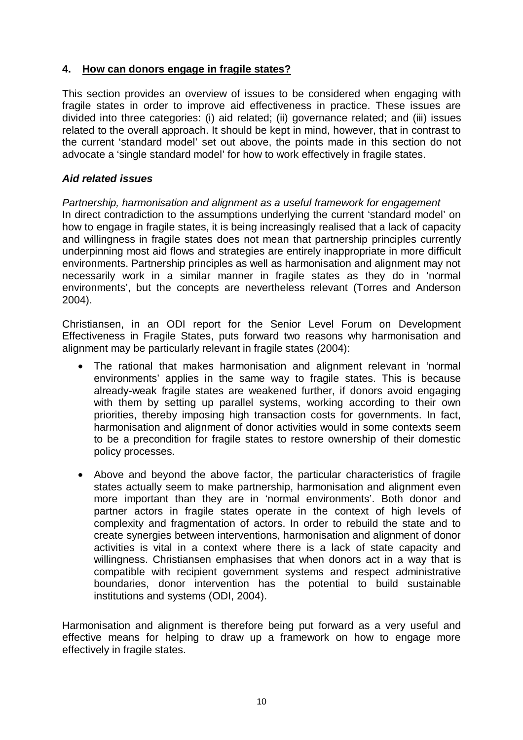# **4. How can donors engage in fragile states?**

This section provides an overview of issues to be considered when engaging with fragile states in order to improve aid effectiveness in practice. These issues are divided into three categories: (i) aid related; (ii) governance related; and (iii) issues related to the overall approach. It should be kept in mind, however, that in contrast to the current 'standard model' set out above, the points made in this section do not advocate a 'single standard model' for how to work effectively in fragile states.

# *Aid related issues*

# *Partnership, harmonisation and alignment as a useful framework for engagement*

In direct contradiction to the assumptions underlying the current 'standard model' on how to engage in fragile states, it is being increasingly realised that a lack of capacity and willingness in fragile states does not mean that partnership principles currently underpinning most aid flows and strategies are entirely inappropriate in more difficult environments. Partnership principles as well as harmonisation and alignment may not necessarily work in a similar manner in fragile states as they do in 'normal environments', but the concepts are nevertheless relevant (Torres and Anderson 2004).

Christiansen, in an ODI report for the Senior Level Forum on Development Effectiveness in Fragile States, puts forward two reasons why harmonisation and alignment may be particularly relevant in fragile states (2004):

- The rational that makes harmonisation and alignment relevant in 'normal environments' applies in the same way to fragile states. This is because already-weak fragile states are weakened further, if donors avoid engaging with them by setting up parallel systems, working according to their own priorities, thereby imposing high transaction costs for governments. In fact, harmonisation and alignment of donor activities would in some contexts seem to be a precondition for fragile states to restore ownership of their domestic policy processes.
- Above and beyond the above factor, the particular characteristics of fragile states actually seem to make partnership, harmonisation and alignment even more important than they are in 'normal environments'. Both donor and partner actors in fragile states operate in the context of high levels of complexity and fragmentation of actors. In order to rebuild the state and to create synergies between interventions, harmonisation and alignment of donor activities is vital in a context where there is a lack of state capacity and willingness. Christiansen emphasises that when donors act in a way that is compatible with recipient government systems and respect administrative boundaries, donor intervention has the potential to build sustainable institutions and systems (ODI, 2004).

Harmonisation and alignment is therefore being put forward as a very useful and effective means for helping to draw up a framework on how to engage more effectively in fragile states.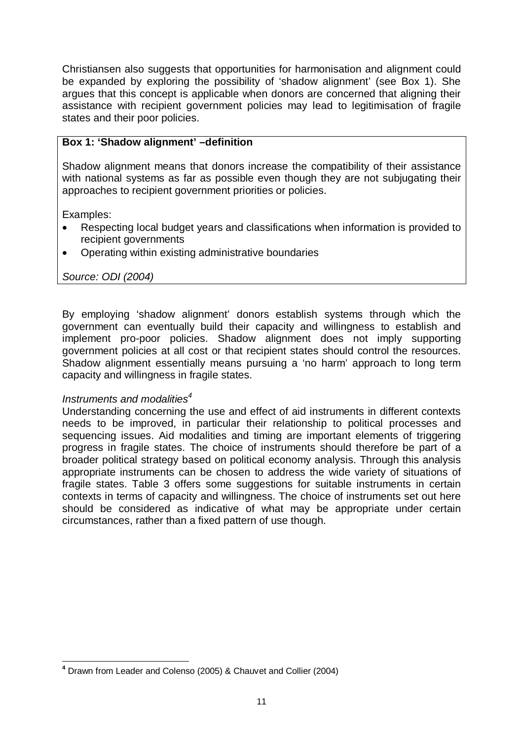Christiansen also suggests that opportunities for harmonisation and alignment could be expanded by exploring the possibility of 'shadow alignment' (see Box 1). She argues that this concept is applicable when donors are concerned that aligning their assistance with recipient government policies may lead to legitimisation of fragile states and their poor policies.

## **Box 1: 'Shadow alignment' –definition**

Shadow alignment means that donors increase the compatibility of their assistance with national systems as far as possible even though they are not subjugating their approaches to recipient government priorities or policies.

Examples:

- Respecting local budget years and classifications when information is provided to recipient governments
- Operating within existing administrative boundaries

*Source: ODI (2004)* 

By employing 'shadow alignment' donors establish systems through which the government can eventually build their capacity and willingness to establish and implement pro-poor policies. Shadow alignment does not imply supporting government policies at all cost or that recipient states should control the resources. Shadow alignment essentially means pursuing a 'no harm' approach to long term capacity and willingness in fragile states.

### *Instruments and modalities<sup>4</sup>*

Understanding concerning the use and effect of aid instruments in different contexts needs to be improved, in particular their relationship to political processes and sequencing issues. Aid modalities and timing are important elements of triggering progress in fragile states. The choice of instruments should therefore be part of a broader political strategy based on political economy analysis. Through this analysis appropriate instruments can be chosen to address the wide variety of situations of fragile states. Table 3 offers some suggestions for suitable instruments in certain contexts in terms of capacity and willingness. The choice of instruments set out here should be considered as indicative of what may be appropriate under certain circumstances, rather than a fixed pattern of use though.

 $\overline{a}$ **<sup>4</sup>** Drawn from Leader and Colenso (2005) & Chauvet and Collier (2004)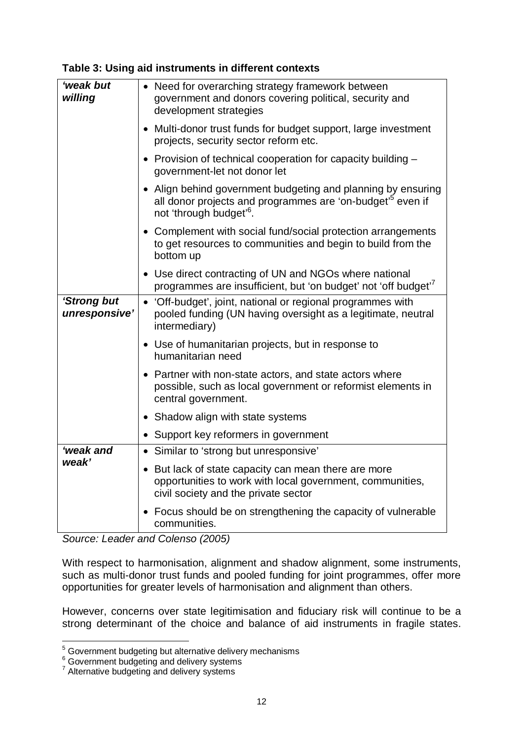| 'weak but<br>willing         | • Need for overarching strategy framework between<br>government and donors covering political, security and<br>development strategies                                         |
|------------------------------|-------------------------------------------------------------------------------------------------------------------------------------------------------------------------------|
|                              | • Multi-donor trust funds for budget support, large investment<br>projects, security sector reform etc.                                                                       |
|                              | • Provision of technical cooperation for capacity building $-$<br>government-let not donor let                                                                                |
|                              | • Align behind government budgeting and planning by ensuring<br>all donor projects and programmes are 'on-budget <sup>'5</sup> even if<br>not 'through budget' <sup>6</sup> . |
|                              | • Complement with social fund/social protection arrangements<br>to get resources to communities and begin to build from the<br>bottom up                                      |
|                              | • Use direct contracting of UN and NGOs where national<br>programmes are insufficient, but 'on budget' not 'off budget' <sup>7</sup>                                          |
| 'Strong but<br>unresponsive' | • 'Off-budget', joint, national or regional programmes with<br>pooled funding (UN having oversight as a legitimate, neutral<br>intermediary)                                  |
|                              | • Use of humanitarian projects, but in response to<br>humanitarian need                                                                                                       |
|                              | • Partner with non-state actors, and state actors where<br>possible, such as local government or reformist elements in<br>central government.                                 |
|                              | • Shadow align with state systems                                                                                                                                             |
|                              | • Support key reformers in government                                                                                                                                         |
| 'weak and                    | • Similar to 'strong but unresponsive'                                                                                                                                        |
| weak'                        | • But lack of state capacity can mean there are more<br>opportunities to work with local government, communities,<br>civil society and the private sector                     |
|                              | • Focus should be on strengthening the capacity of vulnerable<br>communities.                                                                                                 |

*Source: Leader and Colenso (2005)* 

With respect to harmonisation, alignment and shadow alignment, some instruments, such as multi-donor trust funds and pooled funding for joint programmes, offer more opportunities for greater levels of harmonisation and alignment than others.

However, concerns over state legitimisation and fiduciary risk will continue to be a strong determinant of the choice and balance of aid instruments in fragile states.

<sup>&</sup>lt;sup>5</sup><br>
<sup>5</sup> Government budgeting but alternative delivery mechanisms<br>
<sup>6</sup> Government budgeting and delivery systems<br>
<sup>7</sup> Alternative budgeting and delivery systems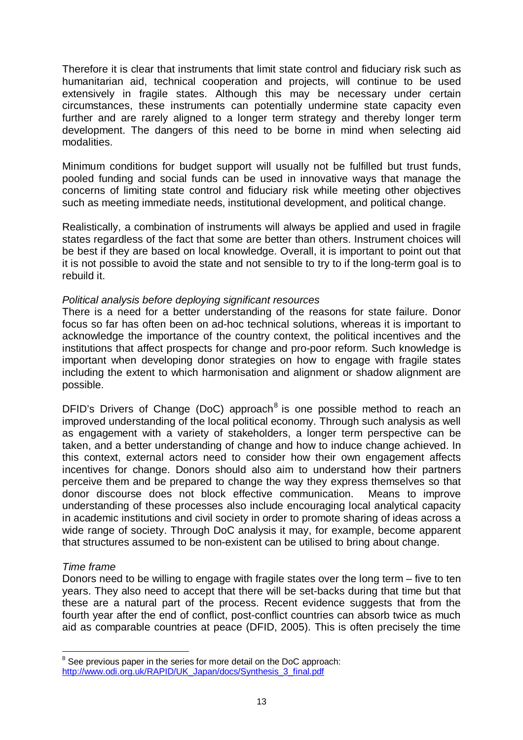Therefore it is clear that instruments that limit state control and fiduciary risk such as humanitarian aid, technical cooperation and projects, will continue to be used extensively in fragile states. Although this may be necessary under certain circumstances, these instruments can potentially undermine state capacity even further and are rarely aligned to a longer term strategy and thereby longer term development. The dangers of this need to be borne in mind when selecting aid modalities.

Minimum conditions for budget support will usually not be fulfilled but trust funds, pooled funding and social funds can be used in innovative ways that manage the concerns of limiting state control and fiduciary risk while meeting other objectives such as meeting immediate needs, institutional development, and political change.

Realistically, a combination of instruments will always be applied and used in fragile states regardless of the fact that some are better than others. Instrument choices will be best if they are based on local knowledge. Overall, it is important to point out that it is not possible to avoid the state and not sensible to try to if the long-term goal is to rebuild it.

#### *Political analysis before deploying significant resources*

There is a need for a better understanding of the reasons for state failure. Donor focus so far has often been on ad-hoc technical solutions, whereas it is important to acknowledge the importance of the country context, the political incentives and the institutions that affect prospects for change and pro-poor reform. Such knowledge is important when developing donor strategies on how to engage with fragile states including the extent to which harmonisation and alignment or shadow alignment are possible.

DFID's Drivers of Change (DoC) approach<sup>8</sup> is one possible method to reach an improved understanding of the local political economy. Through such analysis as well as engagement with a variety of stakeholders, a longer term perspective can be taken, and a better understanding of change and how to induce change achieved. In this context, external actors need to consider how their own engagement affects incentives for change. Donors should also aim to understand how their partners perceive them and be prepared to change the way they express themselves so that donor discourse does not block effective communication. Means to improve understanding of these processes also include encouraging local analytical capacity in academic institutions and civil society in order to promote sharing of ideas across a wide range of society. Through DoC analysis it may, for example, become apparent that structures assumed to be non-existent can be utilised to bring about change.

#### *Time frame*

 $\overline{a}$ 

Donors need to be willing to engage with fragile states over the long term – five to ten years. They also need to accept that there will be set-backs during that time but that these are a natural part of the process. Recent evidence suggests that from the fourth year after the end of conflict, post-conflict countries can absorb twice as much aid as comparable countries at peace (DFID, 2005). This is often precisely the time

<sup>&</sup>lt;sup>8</sup> See previous paper in the series for more detail on the DoC approach: http://www.odi.org.uk/RAPID/UK\_Japan/docs/Synthesis\_3\_final.pdf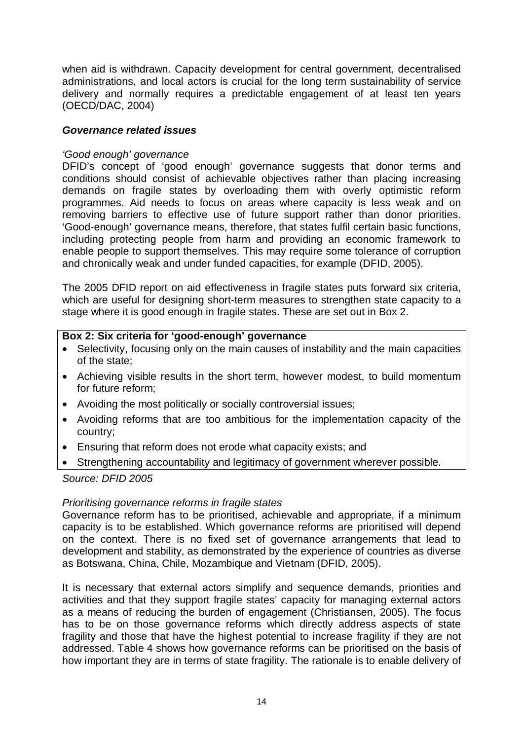when aid is withdrawn. Capacity development for central government, decentralised administrations, and local actors is crucial for the long term sustainability of service delivery and normally requires a predictable engagement of at least ten years (OECD/DAC, 2004)

## *Governance related issues*

## *'Good enough' governance*

DFID's concept of 'good enough' governance suggests that donor terms and conditions should consist of achievable objectives rather than placing increasing demands on fragile states by overloading them with overly optimistic reform programmes. Aid needs to focus on areas where capacity is less weak and on removing barriers to effective use of future support rather than donor priorities. 'Good-enough' governance means, therefore, that states fulfil certain basic functions, including protecting people from harm and providing an economic framework to enable people to support themselves. This may require some tolerance of corruption and chronically weak and under funded capacities, for example (DFID, 2005).

The 2005 DFID report on aid effectiveness in fragile states puts forward six criteria, which are useful for designing short-term measures to strengthen state capacity to a stage where it is good enough in fragile states. These are set out in Box 2.

## **Box 2: Six criteria for 'good-enough' governance**

- Selectivity, focusing only on the main causes of instability and the main capacities of the state;
- Achieving visible results in the short term, however modest, to build momentum for future reform;
- Avoiding the most politically or socially controversial issues;
- Avoiding reforms that are too ambitious for the implementation capacity of the country;
- Ensuring that reform does not erode what capacity exists; and
- Strengthening accountability and legitimacy of government wherever possible.

### *Source: DFID 2005*

### *Prioritising governance reforms in fragile states*

Governance reform has to be prioritised, achievable and appropriate, if a minimum capacity is to be established. Which governance reforms are prioritised will depend on the context. There is no fixed set of governance arrangements that lead to development and stability, as demonstrated by the experience of countries as diverse as Botswana, China, Chile, Mozambique and Vietnam (DFID, 2005).

It is necessary that external actors simplify and sequence demands, priorities and activities and that they support fragile states' capacity for managing external actors as a means of reducing the burden of engagement (Christiansen, 2005). The focus has to be on those governance reforms which directly address aspects of state fragility and those that have the highest potential to increase fragility if they are not addressed. Table 4 shows how governance reforms can be prioritised on the basis of how important they are in terms of state fragility. The rationale is to enable delivery of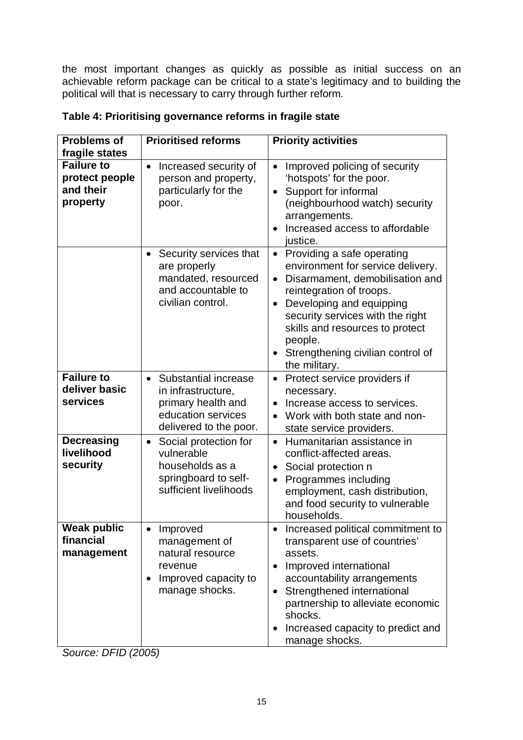the most important changes as quickly as possible as initial success on an achievable reform package can be critical to a state's legitimacy and to building the political will that is necessary to carry through further reform.

| <b>Problems of</b><br>fragile states                         | <b>Prioritised reforms</b>                                                                                                   | <b>Priority activities</b>                                                                                                                                                                                                                                                                                                                |
|--------------------------------------------------------------|------------------------------------------------------------------------------------------------------------------------------|-------------------------------------------------------------------------------------------------------------------------------------------------------------------------------------------------------------------------------------------------------------------------------------------------------------------------------------------|
| <b>Failure to</b><br>protect people<br>and their<br>property | Increased security of<br>$\bullet$<br>person and property,<br>particularly for the<br>poor.                                  | Improved policing of security<br>'hotspots' for the poor.<br>Support for informal<br>$\bullet$<br>(neighbourhood watch) security<br>arrangements.<br>Increased access to affordable<br>$\bullet$<br>justice.                                                                                                                              |
|                                                              | Security services that<br>$\bullet$<br>are properly<br>mandated, resourced<br>and accountable to<br>civilian control.        | Providing a safe operating<br>$\bullet$<br>environment for service delivery.<br>Disarmament, demobilisation and<br>$\bullet$<br>reintegration of troops.<br>Developing and equipping<br>$\bullet$<br>security services with the right<br>skills and resources to protect<br>people.<br>Strengthening civilian control of<br>the military. |
| <b>Failure to</b><br>deliver basic<br>services               | • Substantial increase<br>in infrastructure,<br>primary health and<br>education services<br>delivered to the poor.           | Protect service providers if<br>$\bullet$<br>necessary.<br>Increase access to services.<br>$\bullet$<br>Work with both state and non-<br>state service providers.                                                                                                                                                                         |
| <b>Decreasing</b><br>livelihood<br>security                  | Social protection for<br>$\bullet$<br>vulnerable<br>households as a<br>springboard to self-<br>sufficient livelihoods        | • Humanitarian assistance in<br>conflict-affected areas.<br>Social protection n<br>$\bullet$<br>Programmes including<br>employment, cash distribution,<br>and food security to vulnerable<br>households.                                                                                                                                  |
| Weak public<br>financial<br>management                       | Improved<br>$\bullet$<br>management of<br>natural resource<br>revenue<br>Improved capacity to<br>$\bullet$<br>manage shocks. | Increased political commitment to<br>transparent use of countries'<br>assets.<br>Improved international<br>$\bullet$<br>accountability arrangements<br>Strengthened international<br>$\bullet$<br>partnership to alleviate economic<br>shocks.<br>Increased capacity to predict and<br>manage shocks.                                     |

# **Table 4: Prioritising governance reforms in fragile state**

*Source: DFID (2005)*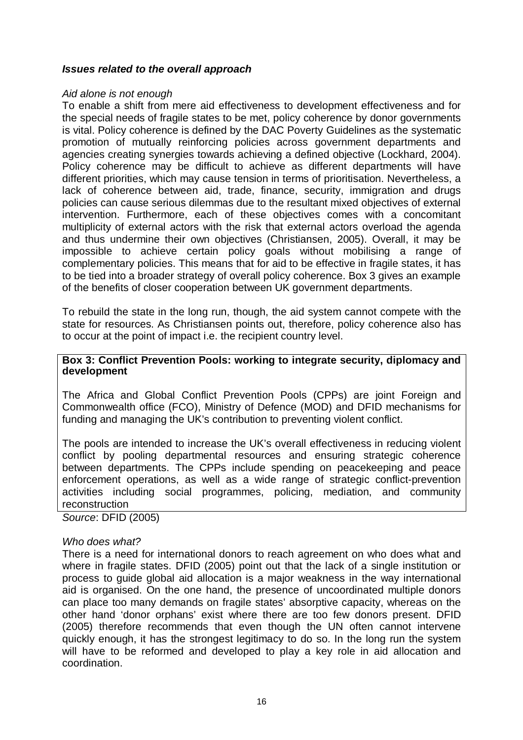#### *Issues related to the overall approach*

#### *Aid alone is not enough*

To enable a shift from mere aid effectiveness to development effectiveness and for the special needs of fragile states to be met, policy coherence by donor governments is vital. Policy coherence is defined by the DAC Poverty Guidelines as the systematic promotion of mutually reinforcing policies across government departments and agencies creating synergies towards achieving a defined objective (Lockhard, 2004). Policy coherence may be difficult to achieve as different departments will have different priorities, which may cause tension in terms of prioritisation. Nevertheless, a lack of coherence between aid, trade, finance, security, immigration and drugs policies can cause serious dilemmas due to the resultant mixed objectives of external intervention. Furthermore, each of these objectives comes with a concomitant multiplicity of external actors with the risk that external actors overload the agenda and thus undermine their own objectives (Christiansen, 2005). Overall, it may be impossible to achieve certain policy goals without mobilising a range of complementary policies. This means that for aid to be effective in fragile states, it has to be tied into a broader strategy of overall policy coherence. Box 3 gives an example of the benefits of closer cooperation between UK government departments.

To rebuild the state in the long run, though, the aid system cannot compete with the state for resources. As Christiansen points out, therefore, policy coherence also has to occur at the point of impact i.e. the recipient country level.

#### **Box 3: Conflict Prevention Pools: working to integrate security, diplomacy and development**

The Africa and Global Conflict Prevention Pools (CPPs) are joint Foreign and Commonwealth office (FCO), Ministry of Defence (MOD) and DFID mechanisms for funding and managing the UK's contribution to preventing violent conflict.

The pools are intended to increase the UK's overall effectiveness in reducing violent conflict by pooling departmental resources and ensuring strategic coherence between departments. The CPPs include spending on peacekeeping and peace enforcement operations, as well as a wide range of strategic conflict-prevention activities including social programmes, policing, mediation, and community reconstruction

*Source*: DFID (2005)

#### *Who does what?*

There is a need for international donors to reach agreement on who does what and where in fragile states. DFID (2005) point out that the lack of a single institution or process to guide global aid allocation is a major weakness in the way international aid is organised. On the one hand, the presence of uncoordinated multiple donors can place too many demands on fragile states' absorptive capacity, whereas on the other hand 'donor orphans' exist where there are too few donors present. DFID (2005) therefore recommends that even though the UN often cannot intervene quickly enough, it has the strongest legitimacy to do so. In the long run the system will have to be reformed and developed to play a key role in aid allocation and coordination.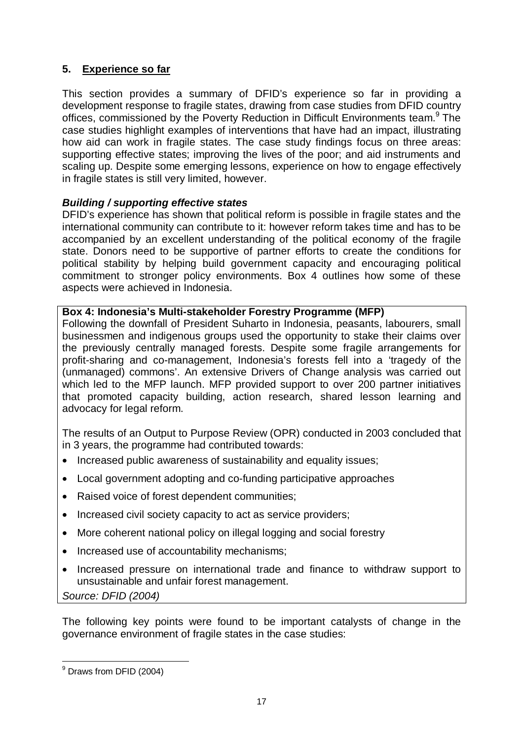# **5. Experience so far**

This section provides a summary of DFID's experience so far in providing a development response to fragile states, drawing from case studies from DFID country offices, commissioned by the Poverty Reduction in Difficult Environments team.<sup>9</sup> The case studies highlight examples of interventions that have had an impact, illustrating how aid can work in fragile states. The case study findings focus on three areas: supporting effective states; improving the lives of the poor; and aid instruments and scaling up. Despite some emerging lessons, experience on how to engage effectively in fragile states is still very limited, however.

## *Building / supporting effective states*

DFID's experience has shown that political reform is possible in fragile states and the international community can contribute to it: however reform takes time and has to be accompanied by an excellent understanding of the political economy of the fragile state. Donors need to be supportive of partner efforts to create the conditions for political stability by helping build government capacity and encouraging political commitment to stronger policy environments. Box 4 outlines how some of these aspects were achieved in Indonesia.

### **Box 4: Indonesia's Multi-stakeholder Forestry Programme (MFP)**

Following the downfall of President Suharto in Indonesia, peasants, labourers, small businessmen and indigenous groups used the opportunity to stake their claims over the previously centrally managed forests. Despite some fragile arrangements for profit-sharing and co-management, Indonesia's forests fell into a 'tragedy of the (unmanaged) commons'. An extensive Drivers of Change analysis was carried out which led to the MFP launch. MFP provided support to over 200 partner initiatives that promoted capacity building, action research, shared lesson learning and advocacy for legal reform.

The results of an Output to Purpose Review (OPR) conducted in 2003 concluded that in 3 years, the programme had contributed towards:

- Increased public awareness of sustainability and equality issues;
- Local government adopting and co-funding participative approaches
- Raised voice of forest dependent communities;
- Increased civil society capacity to act as service providers:
- More coherent national policy on illegal logging and social forestry
- Increased use of accountability mechanisms;
- Increased pressure on international trade and finance to withdraw support to unsustainable and unfair forest management. *Source: DFID (2004)*

The following key points were found to be important catalysts of change in the governance environment of fragile states in the case studies:

 9 Draws from DFID (2004)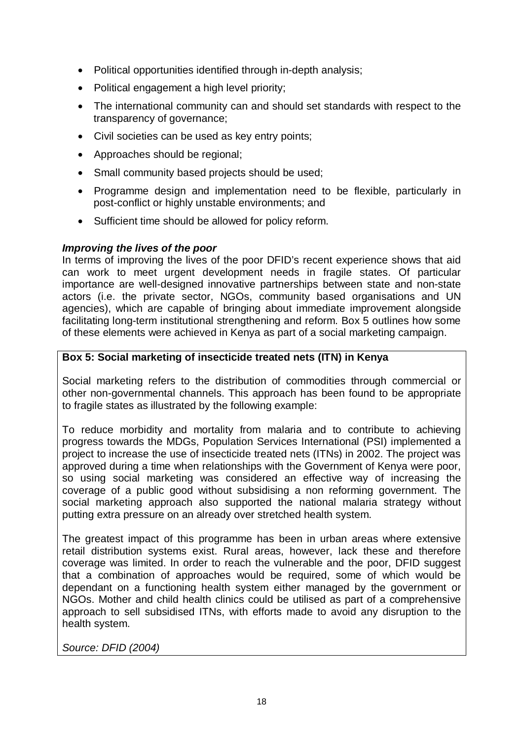- Political opportunities identified through in-depth analysis;
- Political engagement a high level priority;
- The international community can and should set standards with respect to the transparency of governance;
- Civil societies can be used as key entry points;
- Approaches should be regional;
- Small community based projects should be used;
- Programme design and implementation need to be flexible, particularly in post-conflict or highly unstable environments; and
- Sufficient time should be allowed for policy reform.

### *Improving the lives of the poor*

In terms of improving the lives of the poor DFID's recent experience shows that aid can work to meet urgent development needs in fragile states. Of particular importance are well-designed innovative partnerships between state and non-state actors (i.e. the private sector, NGOs, community based organisations and UN agencies), which are capable of bringing about immediate improvement alongside facilitating long-term institutional strengthening and reform. Box 5 outlines how some of these elements were achieved in Kenya as part of a social marketing campaign.

### **Box 5: Social marketing of insecticide treated nets (ITN) in Kenya**

Social marketing refers to the distribution of commodities through commercial or other non-governmental channels. This approach has been found to be appropriate to fragile states as illustrated by the following example:

To reduce morbidity and mortality from malaria and to contribute to achieving progress towards the MDGs, Population Services International (PSI) implemented a project to increase the use of insecticide treated nets (ITNs) in 2002. The project was approved during a time when relationships with the Government of Kenya were poor, so using social marketing was considered an effective way of increasing the coverage of a public good without subsidising a non reforming government. The social marketing approach also supported the national malaria strategy without putting extra pressure on an already over stretched health system.

The greatest impact of this programme has been in urban areas where extensive retail distribution systems exist. Rural areas, however, lack these and therefore coverage was limited. In order to reach the vulnerable and the poor, DFID suggest that a combination of approaches would be required, some of which would be dependant on a functioning health system either managed by the government or NGOs. Mother and child health clinics could be utilised as part of a comprehensive approach to sell subsidised ITNs, with efforts made to avoid any disruption to the health system.

*Source: DFID (2004)*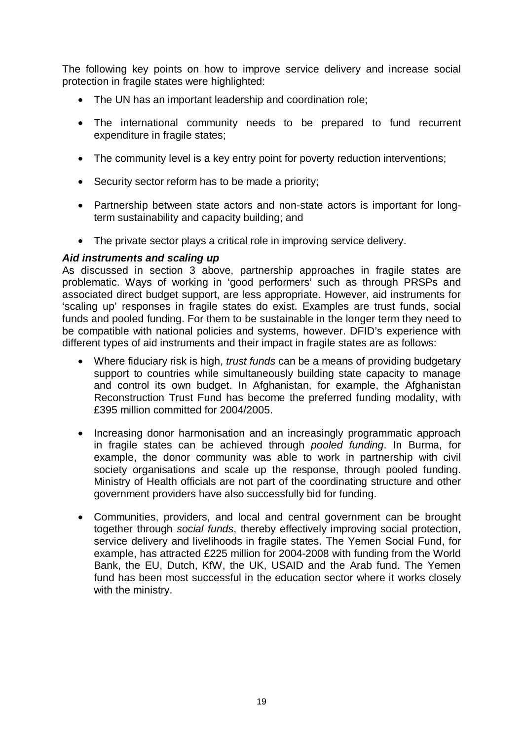The following key points on how to improve service delivery and increase social protection in fragile states were highlighted:

- The UN has an important leadership and coordination role;
- The international community needs to be prepared to fund recurrent expenditure in fragile states;
- The community level is a key entry point for poverty reduction interventions;
- Security sector reform has to be made a priority;
- Partnership between state actors and non-state actors is important for longterm sustainability and capacity building; and
- The private sector plays a critical role in improving service delivery.

### *Aid instruments and scaling up*

As discussed in section 3 above, partnership approaches in fragile states are problematic. Ways of working in 'good performers' such as through PRSPs and associated direct budget support, are less appropriate. However, aid instruments for 'scaling up' responses in fragile states do exist. Examples are trust funds, social funds and pooled funding. For them to be sustainable in the longer term they need to be compatible with national policies and systems, however. DFID's experience with different types of aid instruments and their impact in fragile states are as follows:

- Where fiduciary risk is high, *trust funds* can be a means of providing budgetary support to countries while simultaneously building state capacity to manage and control its own budget. In Afghanistan, for example, the Afghanistan Reconstruction Trust Fund has become the preferred funding modality, with £395 million committed for 2004/2005.
- Increasing donor harmonisation and an increasingly programmatic approach in fragile states can be achieved through *pooled funding*. In Burma, for example, the donor community was able to work in partnership with civil society organisations and scale up the response, through pooled funding. Ministry of Health officials are not part of the coordinating structure and other government providers have also successfully bid for funding.
- Communities, providers, and local and central government can be brought together through *social funds*, thereby effectively improving social protection, service delivery and livelihoods in fragile states. The Yemen Social Fund, for example, has attracted £225 million for 2004-2008 with funding from the World Bank, the EU, Dutch, KfW, the UK, USAID and the Arab fund. The Yemen fund has been most successful in the education sector where it works closely with the ministry.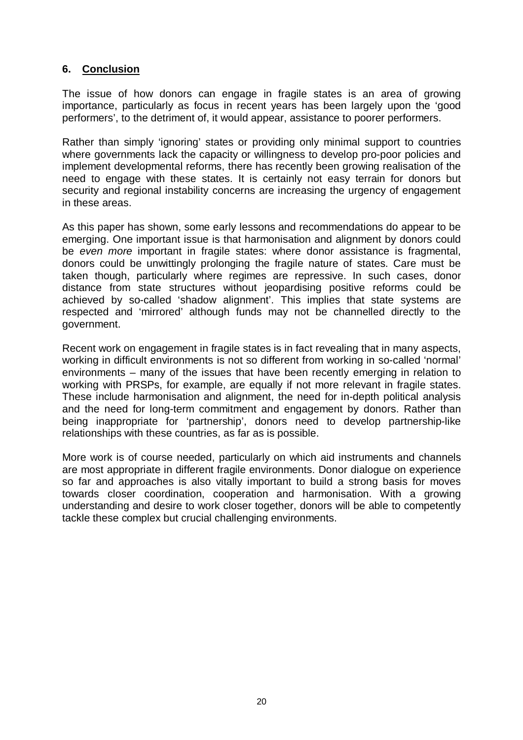## **6. Conclusion**

The issue of how donors can engage in fragile states is an area of growing importance, particularly as focus in recent years has been largely upon the 'good performers', to the detriment of, it would appear, assistance to poorer performers.

Rather than simply 'ignoring' states or providing only minimal support to countries where governments lack the capacity or willingness to develop pro-poor policies and implement developmental reforms, there has recently been growing realisation of the need to engage with these states. It is certainly not easy terrain for donors but security and regional instability concerns are increasing the urgency of engagement in these areas.

As this paper has shown, some early lessons and recommendations do appear to be emerging. One important issue is that harmonisation and alignment by donors could be *even more* important in fragile states: where donor assistance is fragmental, donors could be unwittingly prolonging the fragile nature of states. Care must be taken though, particularly where regimes are repressive. In such cases, donor distance from state structures without jeopardising positive reforms could be achieved by so-called 'shadow alignment'. This implies that state systems are respected and 'mirrored' although funds may not be channelled directly to the government.

Recent work on engagement in fragile states is in fact revealing that in many aspects, working in difficult environments is not so different from working in so-called 'normal' environments – many of the issues that have been recently emerging in relation to working with PRSPs, for example, are equally if not more relevant in fragile states. These include harmonisation and alignment, the need for in-depth political analysis and the need for long-term commitment and engagement by donors. Rather than being inappropriate for 'partnership', donors need to develop partnership-like relationships with these countries, as far as is possible.

More work is of course needed, particularly on which aid instruments and channels are most appropriate in different fragile environments. Donor dialogue on experience so far and approaches is also vitally important to build a strong basis for moves towards closer coordination, cooperation and harmonisation. With a growing understanding and desire to work closer together, donors will be able to competently tackle these complex but crucial challenging environments.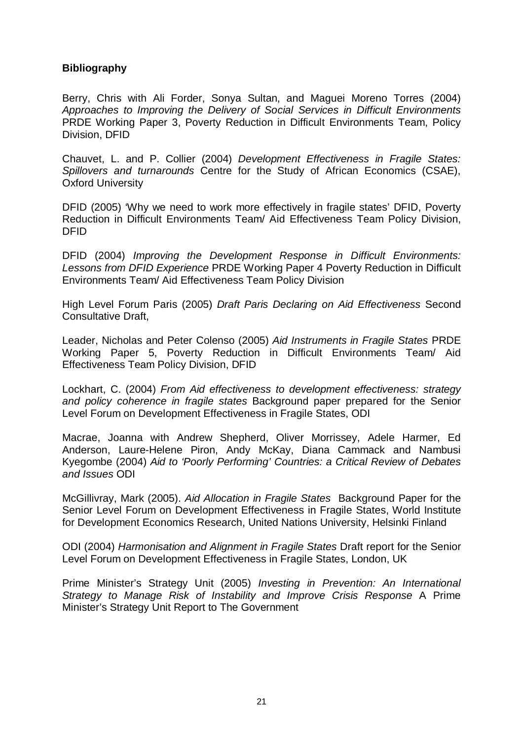### **Bibliography**

Berry, Chris with Ali Forder, Sonya Sultan, and Maguei Moreno Torres (2004) *Approaches to Improving the Delivery of Social Services in Difficult Environments*  PRDE Working Paper 3, Poverty Reduction in Difficult Environments Team, Policy Division, DFID

Chauvet, L. and P. Collier (2004) *Development Effectiveness in Fragile States: Spillovers and turnarounds* Centre for the Study of African Economics (CSAE), Oxford University

DFID (2005) 'Why we need to work more effectively in fragile states' DFID, Poverty Reduction in Difficult Environments Team/ Aid Effectiveness Team Policy Division, DFID

DFID (2004) *Improving the Development Response in Difficult Environments: Lessons from DFID Experience* PRDE Working Paper 4 Poverty Reduction in Difficult Environments Team/ Aid Effectiveness Team Policy Division

High Level Forum Paris (2005) *Draft Paris Declaring on Aid Effectiveness* Second Consultative Draft,

Leader, Nicholas and Peter Colenso (2005) *Aid Instruments in Fragile States* PRDE Working Paper 5, Poverty Reduction in Difficult Environments Team/ Aid Effectiveness Team Policy Division, DFID

Lockhart, C. (2004) *From Aid effectiveness to development effectiveness: strategy and policy coherence in fragile states* Background paper prepared for the Senior Level Forum on Development Effectiveness in Fragile States, ODI

Macrae, Joanna with Andrew Shepherd, Oliver Morrissey, Adele Harmer, Ed Anderson, Laure-Helene Piron, Andy McKay, Diana Cammack and Nambusi Kyegombe (2004) *Aid to 'Poorly Performing' Countries: a Critical Review of Debates and Issues* ODI

McGillivray, Mark (2005). *Aid Allocation in Fragile States* Background Paper for the Senior Level Forum on Development Effectiveness in Fragile States, World Institute for Development Economics Research, United Nations University, Helsinki Finland

ODI (2004) *Harmonisation and Alignment in Fragile States* Draft report for the Senior Level Forum on Development Effectiveness in Fragile States, London, UK

Prime Minister's Strategy Unit (2005) *Investing in Prevention: An International Strategy to Manage Risk of Instability and Improve Crisis Response* A Prime Minister's Strategy Unit Report to The Government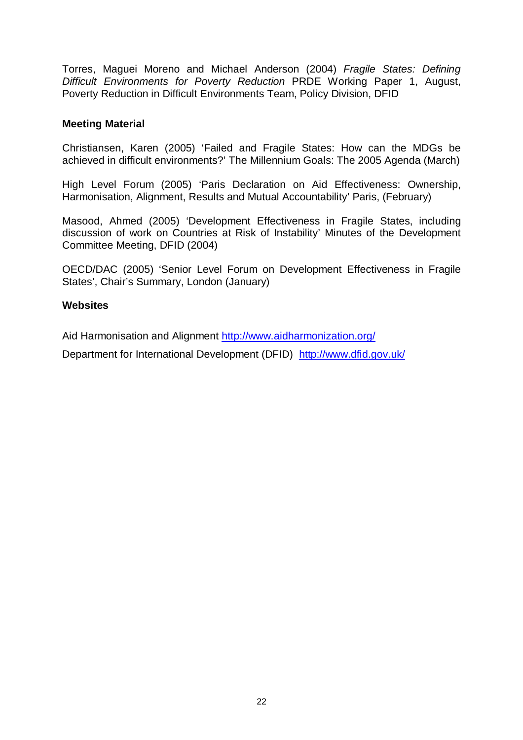Torres, Maguei Moreno and Michael Anderson (2004) *Fragile States: Defining Difficult Environments for Poverty Reduction* PRDE Working Paper 1, August, Poverty Reduction in Difficult Environments Team, Policy Division, DFID

#### **Meeting Material**

Christiansen, Karen (2005) 'Failed and Fragile States: How can the MDGs be achieved in difficult environments?' The Millennium Goals: The 2005 Agenda (March)

High Level Forum (2005) 'Paris Declaration on Aid Effectiveness: Ownership, Harmonisation, Alignment, Results and Mutual Accountability' Paris, (February)

Masood, Ahmed (2005) 'Development Effectiveness in Fragile States, including discussion of work on Countries at Risk of Instability' Minutes of the Development Committee Meeting, DFID (2004)

OECD/DAC (2005) 'Senior Level Forum on Development Effectiveness in Fragile States', Chair's Summary, London (January)

### **Websites**

Aid Harmonisation and Alignment http://www.aidharmonization.org/

Department for International Development (DFID) http://www.dfid.gov.uk/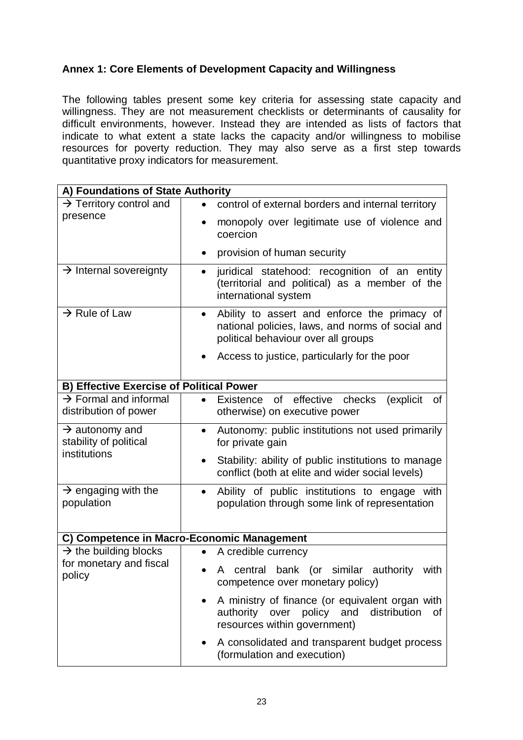# **Annex 1: Core Elements of Development Capacity and Willingness**

The following tables present some key criteria for assessing state capacity and willingness. They are not measurement checklists or determinants of causality for difficult environments, however. Instead they are intended as lists of factors that indicate to what extent a state lacks the capacity and/or willingness to mobilise resources for poverty reduction. They may also serve as a first step towards quantitative proxy indicators for measurement.

| A) Foundations of State Authority                          |                                                                                                                                                      |  |  |  |
|------------------------------------------------------------|------------------------------------------------------------------------------------------------------------------------------------------------------|--|--|--|
| $\rightarrow$ Territory control and                        | control of external borders and internal territory                                                                                                   |  |  |  |
| presence                                                   | monopoly over legitimate use of violence and<br>coercion                                                                                             |  |  |  |
|                                                            | provision of human security                                                                                                                          |  |  |  |
| $\rightarrow$ Internal sovereignty                         | juridical statehood: recognition of an entity<br>$\bullet$<br>(territorial and political) as a member of the<br>international system                 |  |  |  |
| $\rightarrow$ Rule of Law                                  | Ability to assert and enforce the primacy of<br>$\bullet$<br>national policies, laws, and norms of social and<br>political behaviour over all groups |  |  |  |
|                                                            | Access to justice, particularly for the poor                                                                                                         |  |  |  |
| <b>B) Effective Exercise of Political Power</b>            |                                                                                                                                                      |  |  |  |
| $\rightarrow$ Formal and informal<br>distribution of power | of effective checks<br>(explicit)<br>Existence<br>οf<br>otherwise) on executive power                                                                |  |  |  |
| $\rightarrow$ autonomy and<br>stability of political       | Autonomy: public institutions not used primarily<br>$\bullet$<br>for private gain                                                                    |  |  |  |
| institutions                                               | Stability: ability of public institutions to manage<br>$\bullet$<br>conflict (both at elite and wider social levels)                                 |  |  |  |
| $\rightarrow$ engaging with the<br>population              | Ability of public institutions to engage with<br>$\bullet$<br>population through some link of representation                                         |  |  |  |
| C) Competence in Macro-Economic Management                 |                                                                                                                                                      |  |  |  |
| $\rightarrow$ the building blocks                          | A credible currency                                                                                                                                  |  |  |  |
| for monetary and fiscal<br>policy                          | central<br>bank (or<br>similar<br>authority<br>with<br>A<br>competence over monetary policy)                                                         |  |  |  |
|                                                            | A ministry of finance (or equivalent organ with<br>distribution<br>authority over policy and<br>οf<br>resources within government)                   |  |  |  |
|                                                            | A consolidated and transparent budget process<br>(formulation and execution)                                                                         |  |  |  |